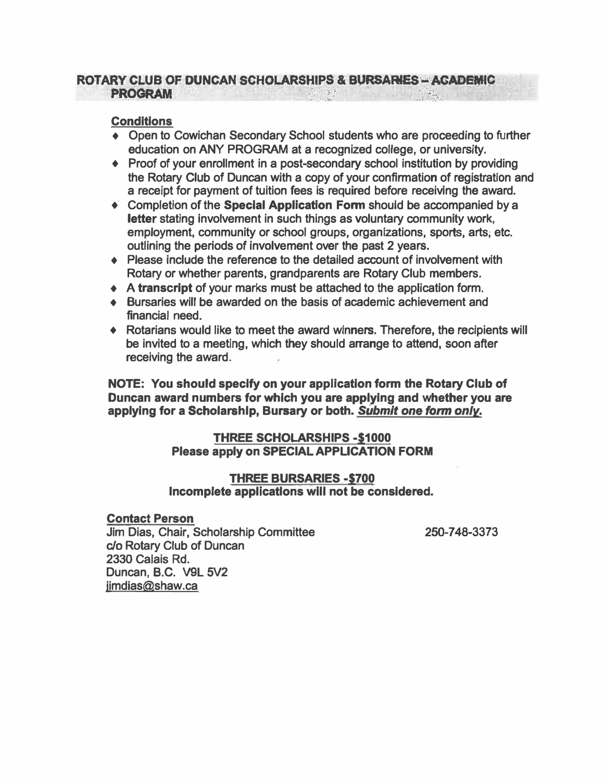#### **ROTARY CLUB OF DUNCAN SCHOLARSHIPS & BURSARIES - ACADEMIC** PRQG RAM  $\frac{1}{2}$   $\frac{1}{2}$   $\frac{1}{2}$   $\frac{1}{2}$   $\frac{1}{2}$   $\frac{1}{2}$   $\frac{1}{2}$  $\mathcal{L} = \mathcal{L} \mathcal{L}$ . .· .

#### **Conditions**

- **• Open to Cowichan Secondary School students who are proceeding to further education on ANY PROGRAM at a recognized college, or university.**
- **♦ Proof of your enrollment in a post-secondary school institution by providing the Rotary Club of Duncan with a copy of your confirmation of registration and a receipt for payment of tuition fees is required before receiving the award.**
- **♦ Completion of the Special Application Fonn should be accompanied by a letter stating involvement in such things as voluntary community work, employment, community or school groups, organizations, sports, arts; etc. outlining the periods of involvement over the past 2 years.**
- **♦ Please include the reference to the detailed account of involvement with Rotary or whether parents, grandparents are Rotary Club members.**
- **♦ A transcript of your marks must be attached to the application form.**
- **• Bursaries will be awarded on the basis of academic achievement and financial need.**
- **♦ Rotarians would like to meet the award winners. Therefore, the recipients will be invited to a meeting, which they should arrange to attend, soon after receiving the award.**

**NOTE: You should specify on your application form the Rotary Club of Duncan award numbers for which you are applying and whether you are applying for a Scholarshlp, Bursary or both.** *Submit one form only.* 

### **THREE SCHOLARSHIPS -\$1000 Please apply on SPECIAL APPLICATION FORM**

#### **THREE BURSARIES -\$700 Incomplete applicatlons wlll not be considered.**

#### **Contact Person**

**Jim Dias, Chair, Scholarship Committee**  *c:Jo* **Rotary Club of Duncan 2330 Calais Rd. Duncan, B.C. V9L 5V2 jimdias@shaw.ca** 

**250-7 48-3373**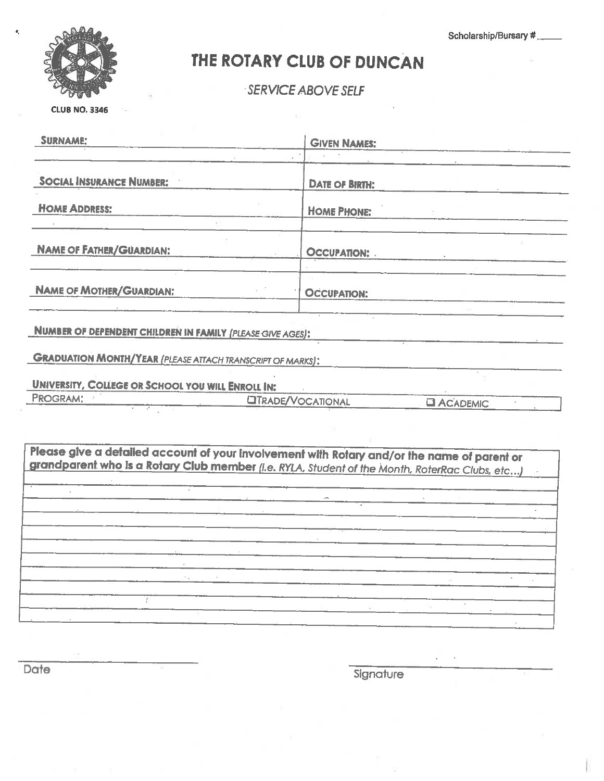Scholarship/Bursary #



## THE ROTARY CLUB OF DUNCAN

SERVICE ABOVE SELF

**CLUB NO. 3346** 

| <b>SURNAME:</b>                                                                                                                                                                               | <b>GIVEN NAMES:</b>                                                                                                    |                    |  |
|-----------------------------------------------------------------------------------------------------------------------------------------------------------------------------------------------|------------------------------------------------------------------------------------------------------------------------|--------------------|--|
| <b>SOCIAL INSURANCE NUMBER:</b>                                                                                                                                                               | <b>DATE OF BIRTH:</b>                                                                                                  |                    |  |
| <b>HOME ADDRESS:</b>                                                                                                                                                                          | <b>HOME PHONE:</b>                                                                                                     |                    |  |
| <b>NAME OF FATHER/GUARDIAN:</b>                                                                                                                                                               | <b>OCCUPATION:</b>                                                                                                     |                    |  |
| <b>NAME OF MOTHER/GUARDIAN:</b>                                                                                                                                                               | <b>OCCUPATION:</b>                                                                                                     |                    |  |
| NUMBER OF DEPENDENT CHILDREN IN FAMILY (PLEASE GIVE AGES):                                                                                                                                    |                                                                                                                        |                    |  |
| <b>GRADUATION MONTH/YEAR (PLEASE ATTACH TRANSCRIPT OF MARKS):</b>                                                                                                                             |                                                                                                                        |                    |  |
| <b>UNIVERSITY, COLLEGE OR SCHOOL YOU WILL ENROLL IN:</b>                                                                                                                                      |                                                                                                                        |                    |  |
| PROGRAM:                                                                                                                                                                                      | <b>LITRADE/VOCATIONAL</b>                                                                                              | <b>EL ACADEMIC</b> |  |
| Please give a detailed account of your involvement with Rotary and/or the name of parent or<br>grandparent who is a Rotary Club member (i.e. RYLA, Student of the Month, RoterRac Clubs, etc) |                                                                                                                        |                    |  |
|                                                                                                                                                                                               | <u> 1989 - Johann John Stone, mars eta industrial eta industrial eta industrial eta industrial eta industrial eta</u>  |                    |  |
|                                                                                                                                                                                               |                                                                                                                        |                    |  |
|                                                                                                                                                                                               | <u>and</u> and the state of the state of the state of the state of the state of the state of the state of the state of |                    |  |
|                                                                                                                                                                                               |                                                                                                                        |                    |  |
|                                                                                                                                                                                               |                                                                                                                        |                    |  |

Date

Signature